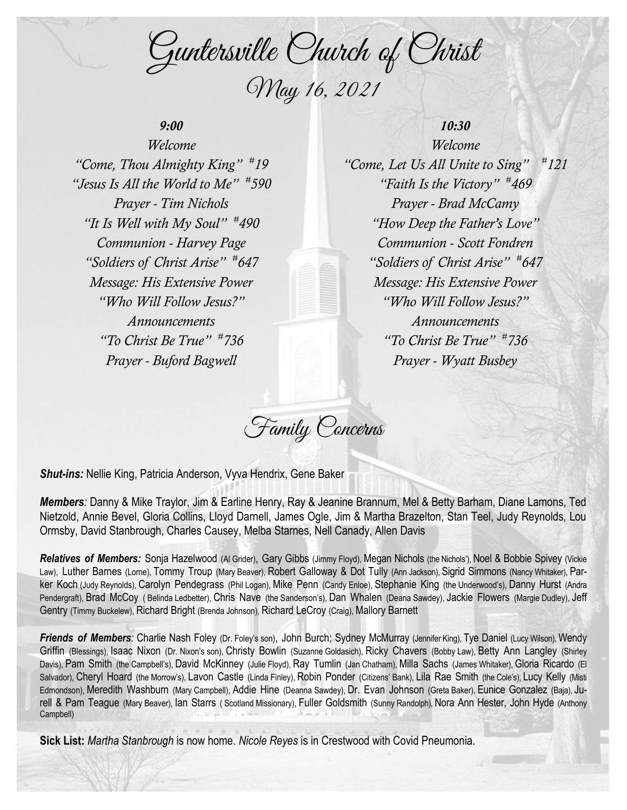Guntersville Church of Christ May 16, 2021

# *9:00*

*Welcome "Come, Thou Almighty King" # 19 "Jesus Is All the World to Me" # 590 Prayer - Tim Nichols "It Is Well with My Soul" # 490 Communion - Harvey Page "Soldiers of Christ Arise" # 647 Message: His Extensive Power "Who Will Follow Jesus?" Announcements "To Christ Be True" # 736 Prayer - Buford Bagwell*

# *10:30*

*Welcome "Come, Let Us All Unite to Sing" # 121 "Faith Is the Victory" # 469 Prayer - Brad McCamy "How Deep the Father's Love" Communion - Scott Fondren "Soldiers of Christ Arise" # 647 Message: His Extensive Power "Who Will Follow Jesus?" Announcements "To Christ Be True" # 736 Prayer - Wyatt Busbey*

Family Concerns

*Shut-ins:* Nellie King, Patricia Anderson, Vyva Hendrix, Gene Baker

*Members:* Danny & Mike Traylor, Jim & Earline Henry, Ray & Jeanine Brannum, Mel & Betty Barham, Diane Lamons, Ted Nietzold, Annie Bevel, Gloria Collins, Lloyd Darnell, James Ogle, Jim & Martha Brazelton, Stan Teel, Judy Reynolds, Lou Ormsby, David Stanbrough, Charles Causey, Melba Starnes, Nell Canady, Allen Davis

**Relatives of Members:** Sonia Hazelwood (Al Grider), Gary Gibbs (Jimmy Floyd), Megan Nichols (the Nichols'), Noel & Bobbie Spivey (Vickie Law), Luther Barnes (Lorne), Tommy Troup (Mary Beaver), Robert Galloway & Dot Tully (Ann Jackson), Sigrid Simmons (Nancy Whitaker), Parker Koch (Judy Reynolds), Carolyn Pendegrass (Phil Logan), Mike Penn (Candy Enloe), Stephanie King (the Underwood's), Danny Hurst (Andra Pendergraft), Brad McCoy ( Belinda Ledbetter), Chris Nave (the Sanderson's), Dan Whalen (Deana Sawdey), Jackie Flowers (Margie Dudley), Jeff Gentry (Timmy Buckelew), Richard Bright (Brenda Johnson), Richard LeCroy (Craig), Mallory Barnett

*Friends of Members:* Charlie Nash Foley (Dr. Foley's son), John Burch; Sydney McMurray (Jennifer King), Tye Daniel (Lucy Wilson), Wendy Griffin (Blessings), Isaac Nixon (Dr. Nixon's son), Christy Bowlin (Suzanne Goldasich), Ricky Chavers (Bobby Law), Betty Ann Langley (Shirley Davis), Pam Smith (the Campbell's), David McKinney (Julie Floyd), Ray Tumlin (Jan Chatham), Milla Sachs (James Whitaker), Gloria Ricardo (El Salvador), Cheryl Hoard (the Morrow's), Lavon Castle (Linda Finley), Robin Ponder (Citizens' Bank), Lila Rae Smith (the Cole's), Lucy Kelly (Misti Edmondson), Meredith Washburn (Mary Campbell), Addie Hine (Deanna Sawdey), Dr. Evan Johnson (Greta Baker), Eunice Gonzalez (Baja), Jurell & Pam Teague (Mary Beaver), Ian Starrs ( Scotland Missionary), Fuller Goldsmith (Sunny Randolph), Nora Ann Hester, John Hyde (Anthony Campbell)

**Sick List:** *Martha Stanbrough* is now home. *Nicole Reyes* is in Crestwood with Covid Pneumonia.